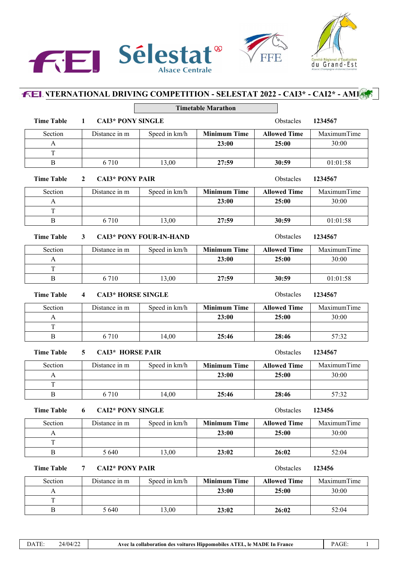

## **FEL NTERNATIONAL DRIVING COMPETITION - SELESTAT 2022 - CAI3\* - CAI2\* - AM1<sup>8</sup> Timetable Marathon Time Table 1 CAI3\* PONY SINGLE 1234567 Obstacles 1234567** Section Distance in m Speed in km/h **Minimum Time Allowed Time** A **23:00 25:00** T B 6 710 13,00 **27:59 30:59** MaximumTime 30:00 01:01:58 **Time Table 2 CAI3\* PONY PAIR** Obstacles **1234567** Section Distance in m Speed in km/h **Minimum Time Allowed Time** A **23:00 25:00** T B 6 710 13,00 **27:59 30:59** MaximumTime 30:00 01:01:58 **Time Table 3 CAI3\* PONY FOUR-IN-HAND** Obstacles **1234567** Section Distance in m Speed in km/h **Minimum Time Allowed Time** A **23:00 25:00** T B 6 710 13,00 **27:59 30:59** MaximumTime 30:00 01:01:58 **Time Table 4 CAI3\* HORSE SINGLE CONSERVER Obstacles 1234567** Section Distance in m Speed in km/h **Minimum Time Allowed Time** A **23:00 25:00** T B 6 710 14,00 **25:46 28:46** MaximumTime 30:00 57:32 **Time Table 5 CAI3\* HORSE PAIR CALIS CAI3\* CAI3\* CAI3\* CAI3\* CAI3\* CAI3\* CAI3\* CAI41 C** Section Distance in m Speed in km/h **Minimum Time Allowed Time** A **23:00 25:00** T B 6 710 14,00 **25:46 28:46** MaximumTime 30:00 57:32

## **Time Table 6 CAI2\* PONY SINGLE 123456 Obstacles 123456**

| Section | Distance in m | Speed in km/h | <b>Minimum Time</b> | <b>Allowed Time</b> | MaximumTime |
|---------|---------------|---------------|---------------------|---------------------|-------------|
|         |               |               | 23:00               | 25:00               | 30:00       |
| m       |               |               |                     |                     |             |
|         | 5 640         | 13,00         | 23:02               | 26:02               | 52:04       |

## **Time Table 7 CAI2\* PONY PAIR Obstacles 123456**

| Section | Distance in m | Speed in km/h | <b>Minimum Time</b> | <b>Allowed Time</b> | MaximumTime |
|---------|---------------|---------------|---------------------|---------------------|-------------|
|         |               |               | 23:00               | 25:00               | 30:00       |
|         |               |               |                     |                     |             |
| В       | 5 640         | 13,00         | 23:02               | 26:02               | 52:04       |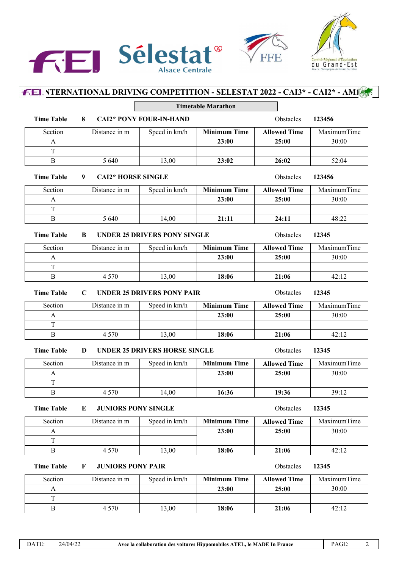





|                                                                                    |                                             |                                      | <b>Timetable Marathon</b> |                     |             |
|------------------------------------------------------------------------------------|---------------------------------------------|--------------------------------------|---------------------------|---------------------|-------------|
| <b>Time Table</b>                                                                  | 8                                           | <b>CAI2* PONY FOUR-IN-HAND</b>       |                           | Obstacles           | 123456      |
| Section                                                                            | Distance in m                               | Speed in km/h                        | <b>Minimum Time</b>       | <b>Allowed Time</b> | MaximumTime |
| A                                                                                  |                                             |                                      | 23:00                     | 25:00               | 30:00       |
| T                                                                                  |                                             |                                      |                           |                     |             |
| $\bf{B}$                                                                           | 5 6 4 0                                     | 13,00                                | 23:02                     | 26:02               | 52:04       |
| <b>Time Table</b>                                                                  | <b>CAI2* HORSE SINGLE</b><br>Obstacles<br>9 |                                      |                           |                     | 123456      |
| Section                                                                            | Distance in m                               | Speed in km/h                        | <b>Minimum Time</b>       | <b>Allowed Time</b> | MaximumTime |
| A                                                                                  |                                             |                                      | 23:00                     | 25:00               | 30:00       |
| T                                                                                  |                                             |                                      |                           |                     |             |
| B                                                                                  | 5 6 4 0                                     | 14,00                                | 21:11                     | 24:11               | 48:22       |
| Obstacles<br><b>Time Table</b><br><b>UNDER 25 DRIVERS PONY SINGLE</b><br>B         |                                             |                                      |                           |                     | 12345       |
| Section                                                                            | Distance in m                               | Speed in km/h                        | <b>Minimum Time</b>       | <b>Allowed Time</b> | MaximumTime |
| A                                                                                  |                                             |                                      | 23:00                     | 25:00               | 30:00       |
| $\rm T$                                                                            |                                             |                                      |                           |                     |             |
| B                                                                                  | 4 5 7 0                                     | 13,00                                | 18:06                     | 21:06               | 42:12       |
| <b>Time Table</b><br>Obstacles<br><b>UNDER 25 DRIVERS PONY PAIR</b><br>$\mathbf C$ |                                             |                                      |                           |                     | 12345       |
| Section                                                                            | Distance in m                               | Speed in km/h                        | <b>Minimum Time</b>       | <b>Allowed Time</b> | MaximumTime |
| $\mathbf{A}$                                                                       |                                             |                                      | 23:00                     | 25:00               | 30:00       |
| T                                                                                  |                                             |                                      |                           |                     |             |
| B                                                                                  | 4 5 7 0                                     | 13,00                                | 18:06                     | 21:06               | 42:12       |
| <b>Time Table</b>                                                                  | D                                           | <b>UNDER 25 DRIVERS HORSE SINGLE</b> |                           | Obstacles           | 12345       |
| Section                                                                            | Distance in m                               | Speed in km/h                        | <b>Minimum Time</b>       | <b>Allowed Time</b> | MaximumTime |
| A                                                                                  |                                             |                                      | 23:00                     | 25:00               | 30:00       |
| T                                                                                  |                                             |                                      |                           |                     |             |
| B                                                                                  | 4 5 7 0                                     | 14,00                                | 16:36                     | 19:36               | 39:12       |
| <b>Time Table</b>                                                                  | Obstacles                                   | 12345                                |                           |                     |             |
| Section                                                                            | Distance in m                               | Speed in km/h                        | <b>Minimum Time</b>       | <b>Allowed Time</b> | MaximumTime |
| $\mathbf{A}$                                                                       |                                             |                                      | 23:00                     | 25:00               | 30:00       |
| T                                                                                  |                                             |                                      |                           |                     |             |
| $\bf{B}$                                                                           | 4 5 7 0                                     | 13,00                                | 18:06                     | 21:06               | 42:12       |
| <b>Time Table</b>                                                                  | <b>JUNIORS PONY PAIR</b><br>F               |                                      |                           | Obstacles           | 12345       |
| Section                                                                            | Distance in m                               | Speed in km/h                        | <b>Minimum Time</b>       | <b>Allowed Time</b> | MaximumTime |
| $\mathbf{A}$                                                                       |                                             |                                      | 23:00                     | 25:00               | 30:00       |
| $\rm T$                                                                            |                                             |                                      |                           |                     |             |
| $\, {\bf B}$                                                                       | 4 5 7 0                                     | 13,00                                | 18:06                     | 21:06               | 42:12       |